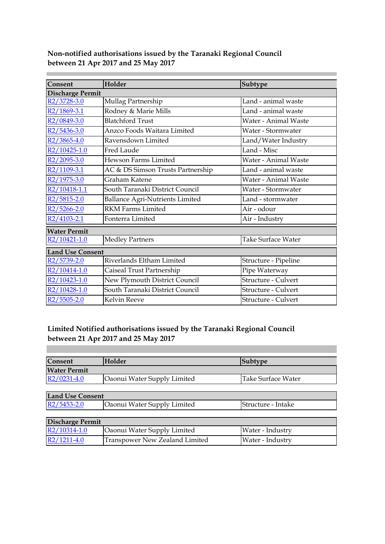| Consent                   | Holder                                 | Subtype              |  |
|---------------------------|----------------------------------------|----------------------|--|
| Discharge Permit          |                                        |                      |  |
| R <sub>2</sub> /3728-3.0  | Mullag Partnership                     | Land - animal waste  |  |
| R2/1869-3.1               | Rodney & Marie Mills                   | Land - animal waste  |  |
| R <sub>2</sub> /0849-3.0  | <b>Blatchford Trust</b>                | Water - Animal Waste |  |
| R <sub>2</sub> /5436-3.0  | Anzco Foods Waitara Limited            | Water - Stormwater   |  |
| R <sub>2</sub> /3865-4.0  | Ravensdown Limited                     | Land/Water Industry  |  |
| R2/10425-1.0              | <b>Fred Laude</b>                      | Land - Misc          |  |
| R <sub>2</sub> /2095-3.0  | <b>Hewson Farms Limited</b>            | Water - Animal Waste |  |
| R2/1109-3.1               | AC & DS Simson Trusts Partnership      | Land - animal waste  |  |
| R <sub>2</sub> /1975-3.0  | Graham Katene                          | Water - Animal Waste |  |
| R2/10418-1.1              | South Taranaki District Council        | Water - Stormwater   |  |
| R <sub>2</sub> /5815-2.0  | <b>Ballance Agri-Nutrients Limited</b> | Land - stormwater    |  |
| R <sub>2</sub> /5266-2.0  | <b>RKM Farms Limited</b>               | Air - odour          |  |
| R <sub>2</sub> /4103-2.1  | Fonterra Limited                       | Air - Industry       |  |
| <b>Water Permit</b>       |                                        |                      |  |
| R <sub>2</sub> /10421-1.0 | <b>Medley Partners</b>                 | Take Surface Water   |  |
| <b>Land Use Consent</b>   |                                        |                      |  |
| R2/5739-2.0               | Riverlands Eltham Limited              | Structure - Pipeline |  |
| R2/10414-1.0              | Caiseal Trust Partnership              | Pipe Waterway        |  |
| R2/10423-1.0              | New Plymouth District Council          | Structure - Culvert  |  |
| R2/10428-1.0              | South Taranaki District Council        | Structure - Culvert  |  |
| R <sub>2</sub> /5505-2.0  | <b>Kelvin Reeve</b>                    | Structure - Culvert  |  |

×.

# **Limited Notified authorisations issued by the Taranaki Regional Council between 21 Apr 2017 and 25 May 2017**

| Consent             | Holder                             | Subtype            |
|---------------------|------------------------------------|--------------------|
| <b>Water Permit</b> |                                    |                    |
| $R2/0231-4.0$       | <b>Oaonui Water Supply Limited</b> | Take Surface Water |
|                     |                                    |                    |

| <b>Land Use Consent</b>  |                                    |                    |
|--------------------------|------------------------------------|--------------------|
| R <sub>2</sub> /5453-2.0 | <b>Oaonui Water Supply Limited</b> | Structure - Intake |

| Discharge Permit |                                    |                  |
|------------------|------------------------------------|------------------|
| $R2/10314-1.0$   | <b>Oaonui Water Supply Limited</b> | Water - Industry |
| $R2/1211-4.0$    | Transpower New Zealand Limited     | Water - Industry |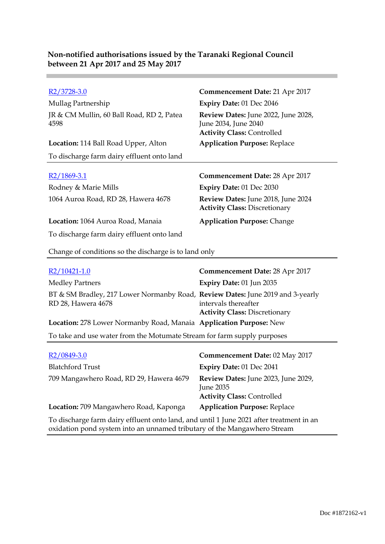| Non-notified authorisations issued by the Taranaki Regional Council |
|---------------------------------------------------------------------|
| between 21 Apr 2017 and 25 May 2017                                 |

| R2/3728-3.0                                       | Commencement Date: 21 Apr 2017                                                                   |
|---------------------------------------------------|--------------------------------------------------------------------------------------------------|
| Mullag Partnership                                | <b>Expiry Date: 01 Dec 2046</b>                                                                  |
| JR & CM Mullin, 60 Ball Road, RD 2, Patea<br>4598 | Review Dates: June 2022, June 2028,<br>June 2034, June 2040<br><b>Activity Class: Controlled</b> |
| <b>Location:</b> 114 Ball Road Upper, Alton       | <b>Application Purpose: Replace</b>                                                              |
| To discharge farm dairy effluent onto land        |                                                                                                  |
|                                                   |                                                                                                  |
|                                                   |                                                                                                  |
| R2/1869-3.1                                       | <b>Commencement Date: 28 Apr 2017</b>                                                            |
| Rodney & Marie Mills                              | <b>Expiry Date: 01 Dec 2030</b>                                                                  |
| 1064 Auroa Road, RD 28, Hawera 4678               | <b>Review Dates:</b> June 2018, June 2024<br><b>Activity Class: Discretionary</b>                |
| Location: 1064 Auroa Road, Manaia                 | <b>Application Purpose: Change</b>                                                               |

Change of conditions so the discharge is to land only

| R2/10421-1.0                                                                                         | Commencement Date: 28 Apr 2017                               |
|------------------------------------------------------------------------------------------------------|--------------------------------------------------------------|
| <b>Medley Partners</b>                                                                               | Expiry Date: 01 Jun 2035                                     |
| BT & SM Bradley, 217 Lower Normanby Road, Review Dates: June 2019 and 3-yearly<br>RD 28, Hawera 4678 | intervals thereafter<br><b>Activity Class: Discretionary</b> |
| Location: 278 Lower Normanby Road, Manaia Application Purpose: New                                   |                                                              |
| To take and use water from the Motumate Stream for farm supply purposes                              |                                                              |
|                                                                                                      |                                                              |

| R <sub>2</sub> /0849-3.0                | Commencement Date: 02 May 2017                                                        |
|-----------------------------------------|---------------------------------------------------------------------------------------|
| <b>Blatchford Trust</b>                 | Expiry Date: 01 Dec 2041                                                              |
| 709 Mangawhero Road, RD 29, Hawera 4679 | Review Dates: June 2023, June 2029,<br>June 2035<br><b>Activity Class: Controlled</b> |
| Location: 709 Mangawhero Road, Kaponga  | <b>Application Purpose: Replace</b>                                                   |
|                                         |                                                                                       |

To discharge farm dairy effluent onto land, and until 1 June 2021 after treatment in an oxidation pond system into an unnamed tributary of the Mangawhero Stream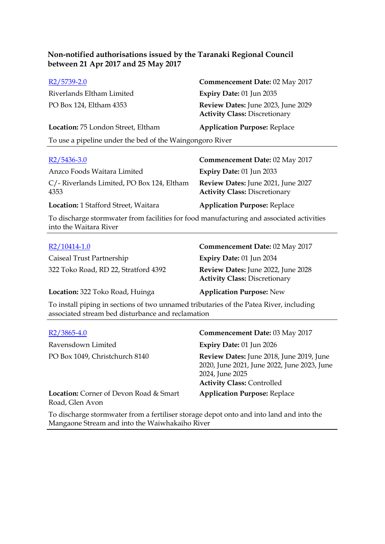| R <sub>2</sub> /5739-2.0                                 | Commencement Date: 02 May 2017                                             |
|----------------------------------------------------------|----------------------------------------------------------------------------|
| Riverlands Eltham Limited                                | Expiry Date: $01$ Jun 2035                                                 |
| PO Box 124, Eltham 4353                                  | Review Dates: June 2023, June 2029<br><b>Activity Class: Discretionary</b> |
| Location: 75 London Street, Eltham                       | <b>Application Purpose: Replace</b>                                        |
| To use a pipeline under the bed of the Waingongoro River |                                                                            |

| $R2/5436-3.0$                                                                            | <b>Commencement Date: 02 May 2017</b>                                      |
|------------------------------------------------------------------------------------------|----------------------------------------------------------------------------|
| Anzco Foods Waitara Limited                                                              | <b>Expiry Date: 01 Jun 2033</b>                                            |
| C/- Riverlands Limited, PO Box 124, Eltham<br>4353                                       | Review Dates: June 2021, June 2027<br><b>Activity Class: Discretionary</b> |
| Location: 1 Stafford Street, Waitara                                                     | <b>Application Purpose: Replace</b>                                        |
| To discharge stormwater from facilities for food manufacturing and associated activities |                                                                            |

nwater from facilities for food manufacturing and associated activities Io discharge stormwat<br>into the Waitara River

| R2/10414-1.0                                                                                    | Commencement Date: 02 May 2017                                             |
|-------------------------------------------------------------------------------------------------|----------------------------------------------------------------------------|
| Caiseal Trust Partnership                                                                       | <b>Expiry Date: 01 Jun 2034</b>                                            |
| 322 Toko Road, RD 22, Stratford 4392                                                            | Review Dates: June 2022, June 2028<br><b>Activity Class: Discretionary</b> |
| Location: 322 Toko Road, Huinga                                                                 | <b>Application Purpose: New</b>                                            |
| $\Gamma$ a install piping in soctions of two unparmed tributarios of the Patea River, including |                                                                            |

To install piping in sections of two unnamed tributaries of the Patea River, including associated stream bed disturbance and reclamation

| $R2/3865-4.0$                                                    | Commencement Date: 03 May 2017                                                                                                                  |
|------------------------------------------------------------------|-------------------------------------------------------------------------------------------------------------------------------------------------|
| Ravensdown Limited                                               | <b>Expiry Date: 01 Jun 2026</b>                                                                                                                 |
| PO Box 1049, Christchurch 8140                                   | Review Dates: June 2018, June 2019, June<br>2020, June 2021, June 2022, June 2023, June<br>2024, June 2025<br><b>Activity Class: Controlled</b> |
| <b>Location:</b> Corner of Devon Road & Smart<br>Road, Glen Avon | <b>Application Purpose: Replace</b>                                                                                                             |

To discharge stormwater from a fertiliser storage depot onto and into land and into the Mangaone Stream and into the Waiwhakaiho River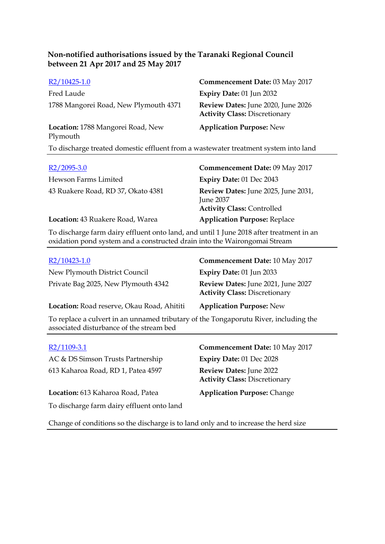| $R2/10425-1.0$                                                                      | Commencement Date: 03 May 2017                                             |
|-------------------------------------------------------------------------------------|----------------------------------------------------------------------------|
| Fred Laude                                                                          | Expiry Date: 01 Jun 2032                                                   |
| 1788 Mangorei Road, New Plymouth 4371                                               | Review Dates: June 2020, June 2026<br><b>Activity Class: Discretionary</b> |
| Location: 1788 Mangorei Road, New<br>Plymouth                                       | <b>Application Purpose: New</b>                                            |
| To discharge treated domestic effluent from a wastewater treatment system into land |                                                                            |
|                                                                                     |                                                                            |

| $R2/2095-3.0$                      | Commencement Date: 09 May 2017                                                               |
|------------------------------------|----------------------------------------------------------------------------------------------|
| Hewson Farms Limited               | <b>Expiry Date: 01 Dec 2043</b>                                                              |
| 43 Ruakere Road, RD 37, Okato 4381 | Review Dates: June 2025, June 2031,<br><b>June 2037</b><br><b>Activity Class: Controlled</b> |
| Location: 43 Ruakere Road, Warea   | <b>Application Purpose: Replace</b>                                                          |

To discharge farm dairy effluent onto land, and until 1 June 2018 after treatment in an oxidation pond system and a constructed drain into the Wairongomai Stream

| $R2/10423-1.0$                             | Commencement Date: 10 May 2017                                             |
|--------------------------------------------|----------------------------------------------------------------------------|
| New Plymouth District Council              | Expiry Date: 01 Jun 2033                                                   |
| Private Bag 2025, New Plymouth 4342        | Review Dates: June 2021, June 2027<br><b>Activity Class: Discretionary</b> |
| Location: Road reserve, Okau Road, Ahititi | <b>Application Purpose: New</b>                                            |

To replace a culvert in an unnamed tributary of the Tongaporutu River, including the associated disturbance of the stream bed

AC & DS Simson Trusts Partnership **Expiry Date:** 01 Dec 2028 613 Kaharoa Road, RD 1, Patea 4597 **Review Dates:** June 2022

**Location:** 613 Kaharoa Road, Patea **Application Purpose:** Change To discharge farm dairy effluent onto land

R2/1109-3.1 **Commencement Date:** 10 May 2017 **Activity Class:** Discretionary

Change of conditions so the discharge is to land only and to increase the herd size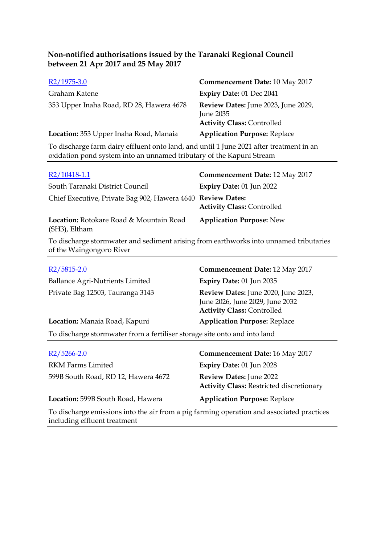| $R2/1975-3.0$                                                                          | <b>Commencement Date: 10 May 2017</b>                                                 |
|----------------------------------------------------------------------------------------|---------------------------------------------------------------------------------------|
| Graham Katene                                                                          | Expiry Date: 01 Dec 2041                                                              |
| 353 Upper Inaha Road, RD 28, Hawera 4678                                               | Review Dates: June 2023, June 2029,<br>June 2035<br><b>Activity Class: Controlled</b> |
| Location: 353 Upper Inaha Road, Manaia                                                 | <b>Application Purpose: Replace</b>                                                   |
| To discharge farm dairy effluent onto land and until 1 June 2021 after treatment in an |                                                                                       |

To discharge farm dairy effluent onto land, and until 1 June 2021 after treatment in an oxidation pond system into an unnamed tributary of the Kapuni Stream

| R2/10418-1.1                                                    | <b>Commencement Date: 12 May 2017</b> |
|-----------------------------------------------------------------|---------------------------------------|
| South Taranaki District Council                                 | Expiry Date: 01 Jun 2022              |
| Chief Executive, Private Bag 902, Hawera 4640 Review Dates:     | <b>Activity Class: Controlled</b>     |
| <b>Location:</b> Rotokare Road & Mountain Road<br>(SH3), Eltham | <b>Application Purpose: New</b>       |

To discharge stormwater and sediment arising from earthworks into unnamed tributaries of the Waingongoro River

| $R2/5815-2.0$                                                             | <b>Commencement Date: 12 May 2017</b>                                                                       |
|---------------------------------------------------------------------------|-------------------------------------------------------------------------------------------------------------|
| Ballance Agri-Nutrients Limited                                           | Expiry Date: 01 Jun 2035                                                                                    |
| Private Bag 12503, Tauranga 3143                                          | Review Dates: June 2020, June 2023,<br>June 2026, June 2029, June 2032<br><b>Activity Class: Controlled</b> |
| Location: Manaia Road, Kapuni                                             | <b>Application Purpose: Replace</b>                                                                         |
| To discharge stormwater from a fertiliser storage site onto and into land |                                                                                                             |

|  |  | $R2/5266 - 2.0$ |  |
|--|--|-----------------|--|
|--|--|-----------------|--|

RKM Farms Limited **Expiry Date:** 01 Jun 2028 599B South Road, RD 12, Hawera 4672 **Review Dates:** June 2022

**Commencement Date:** 16 May 2017 **Activity Class:** Restricted discretionary

**Location:** 599B South Road, Hawera **Application Purpose:** Replace

To discharge emissions into the air from a pig farming operation and associated practices including effluent treatment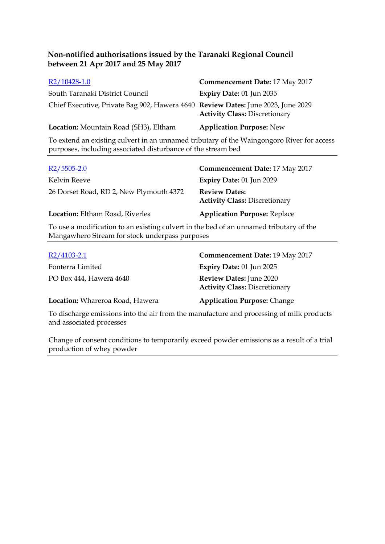| $R2/10428-1.0$                                                                   | <b>Commencement Date: 17 May 2017</b>                                                                                                                                                                                                                                                                           |
|----------------------------------------------------------------------------------|-----------------------------------------------------------------------------------------------------------------------------------------------------------------------------------------------------------------------------------------------------------------------------------------------------------------|
| South Taranaki District Council                                                  | Expiry Date: 01 Jun 2035                                                                                                                                                                                                                                                                                        |
| Chief Executive, Private Bag 902, Hawera 4640 Review Dates: June 2023, June 2029 | <b>Activity Class: Discretionary</b>                                                                                                                                                                                                                                                                            |
| Location: Mountain Road (SH3), Eltham                                            | <b>Application Purpose: New</b>                                                                                                                                                                                                                                                                                 |
|                                                                                  | 1. $\cdot$ 1. $\cdot$ 1. $\cdot$ 1. $\cdot$ 1. $\cdot$ 1. $\cdot$ 1. $\cdot$ 1. $\cdot$ 1. $\cdot$ 1. $\cdot$ 1. $\cdot$ 1. $\cdot$ 1. $\cdot$ 1. $\cdot$ 1. $\cdot$ 1. $\cdot$ 1. $\cdot$ 1. $\cdot$ 1. $\cdot$ 1. $\cdot$ 1. $\cdot$ 1. $\cdot$ 1. $\cdot$ 1. $\cdot$ 1. $\cdot$ 1. $\cdot$ 1. $\cdot$ 1. $\$ |

To extend an existing culvert in an unnamed tributary of the Waingongoro River for access purposes, including associated disturbance of the stream bed

| $R2/5505-2.0$                                                                          | <b>Commencement Date: 17 May 2017</b>                        |
|----------------------------------------------------------------------------------------|--------------------------------------------------------------|
| Kelvin Reeve                                                                           | Expiry Date: 01 Jun 2029                                     |
| 26 Dorset Road, RD 2, New Plymouth 4372                                                | <b>Review Dates:</b><br><b>Activity Class: Discretionary</b> |
| Location: Eltham Road, Riverlea                                                        | <b>Application Purpose: Replace</b>                          |
| To use a modification to an existing culvert in the bed of an unnamed tributary of the |                                                              |

To use a modification to an existing culvert in the bed of an unnamed tributary of the Mangawhero Stream for stock underpass purposes

| $R2/4103 - 2.1$                                                                          | Commencement Date: 19 May 2017                                  |
|------------------------------------------------------------------------------------------|-----------------------------------------------------------------|
| Fonterra Limited                                                                         | <b>Expiry Date: 01 Jun 2025</b>                                 |
| PO Box 444, Hawera 4640                                                                  | Review Dates: June 2020<br><b>Activity Class: Discretionary</b> |
| Location: Whareroa Road, Hawera                                                          | <b>Application Purpose: Change</b>                              |
| To discharge emissions into the air from the manufacture and processing of milk products |                                                                 |

and associated processes Change of consent conditions to temporarily exceed powder emissions as a result of a trial

production of whey powder